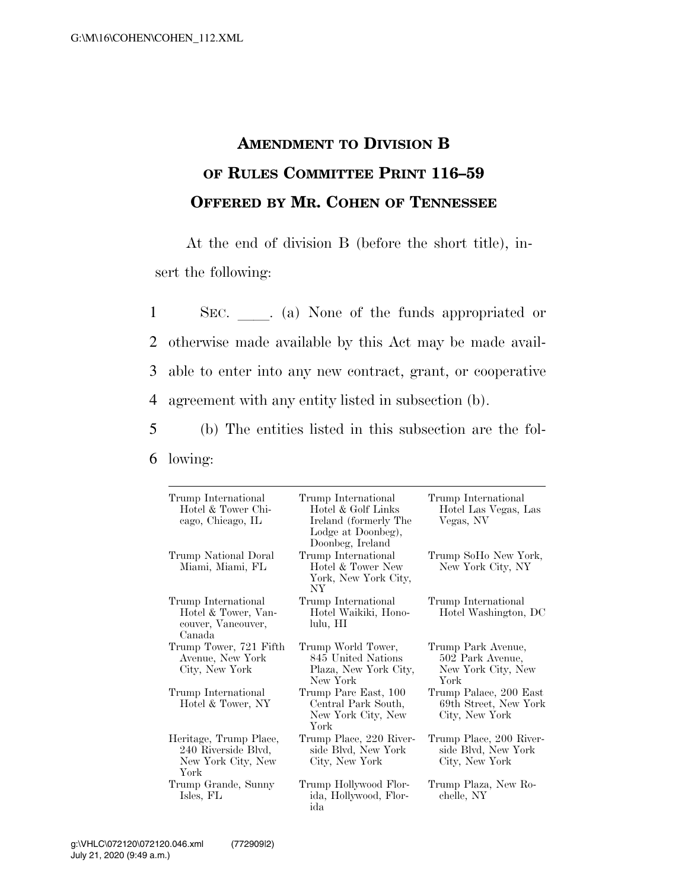## **AMENDMENT TO DIVISION B OF RULES COMMITTEE PRINT 116–59 OFFERED BY MR. COHEN OF TENNESSEE**

At the end of division B (before the short title), insert the following:

1 SEC. a) None of the funds appropriated or otherwise made available by this Act may be made avail- able to enter into any new contract, grant, or cooperative agreement with any entity listed in subsection (b).

5 (b) The entities listed in this subsection are the fol-6 lowing:

| Trump International<br>Hotel & Tower Chi-<br>cago, Chicago, IL              | Trump International<br>Hotel & Golf Links<br>Ireland (formerly The<br>Lodge at Doonbeg),<br>Doonbeg, Ireland | Trump International<br>Hotel Las Vegas, Las<br>Vegas, NV             |
|-----------------------------------------------------------------------------|--------------------------------------------------------------------------------------------------------------|----------------------------------------------------------------------|
| Trump National Doral<br>Miami, Miami, FL                                    | Trump International<br>Hotel & Tower New<br>York, New York City,<br>NY <sub></sub>                           | Trump SoHo New York,<br>New York City, NY                            |
| Trump International<br>Hotel & Tower, Van-<br>couver, Vancouver,<br>Canada  | Trump International<br>Hotel Waikiki, Hono-<br>lulu, HI                                                      | Trump International<br>Hotel Washington, DC                          |
| Trump Tower, 721 Fifth<br>Avenue, New York<br>City, New York                | Trump World Tower,<br>845 United Nations<br>Plaza, New York City,<br>New York                                | Trump Park Avenue,<br>502 Park Avenue,<br>New York City, New<br>York |
| Trump International<br>Hotel & Tower, NY                                    | Trump Parc East, 100<br>Central Park South,<br>New York City, New<br>York                                    | Trump Palace, 200 East<br>69th Street, New York<br>City, New York    |
| Heritage, Trump Place,<br>240 Riverside Blvd,<br>New York City, New<br>York | Trump Place, 220 River-<br>side Blvd, New York<br>City, New York                                             | Trump Place, 200 River-<br>side Blvd, New York<br>City, New York     |
| Trump Grande, Sunny<br>Isles, FL                                            | Trump Hollywood Flor-<br>ida, Hollywood, Flor-<br>ida                                                        | Trump Plaza, New Ro-<br>chelle, NY                                   |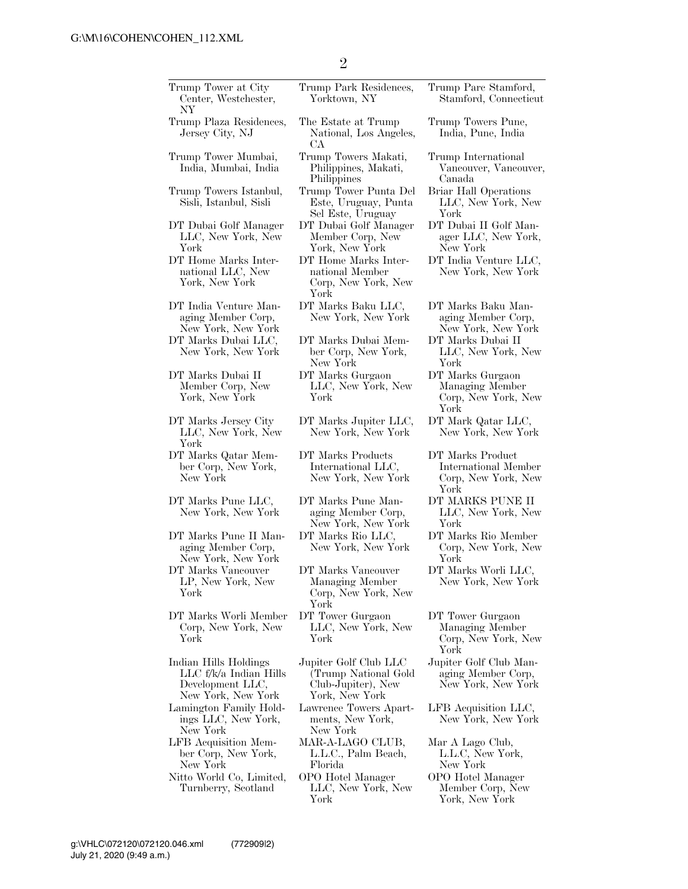| Trump Tower at City<br>Center, Westchester,<br>NΥ                                         | Trump Park Residences,<br>Yorktown, NY                                                | Trump Pare Stamford,<br>Stamford, Connecticut                           |
|-------------------------------------------------------------------------------------------|---------------------------------------------------------------------------------------|-------------------------------------------------------------------------|
| Trump Plaza Residences,<br>Jersey City, NJ                                                | The Estate at Trump<br>National, Los Angeles,<br>CА                                   | Trump Towers Pune,<br>India, Pune, India                                |
| Trump Tower Mumbai,<br>India, Mumbai, India                                               | Trump Towers Makati,<br>Philippines, Makati,<br>Philippines                           | Trump International<br>Vancouver, Vancouver,<br>Canada                  |
| Trump Towers Istanbul,<br>Sisli, Istanbul, Sisli                                          | Trump Tower Punta Del<br>Este, Uruguay, Punta<br>Sel Este, Uruguay                    | <b>Briar Hall Operations</b><br>LLC, New York, New<br>York              |
| DT Dubai Golf Manager<br>LLC, New York, New<br>York                                       | DT Dubai Golf Manager<br>Member Corp, New<br>York, New York                           | DT Dubai II Golf Man-<br>ager LLC, New York,<br>New York                |
| DT Home Marks Inter-<br>national LLC, New<br>York, New York                               | DT Home Marks Inter-<br>national Member<br>Corp, New York, New<br>York                | DT India Venture LLC,<br>New York, New York                             |
| DT India Venture Man-<br>aging Member Corp,<br>New York, New York                         | DT Marks Baku LLC,<br>New York, New York                                              | DT Marks Baku Man-<br>aging Member Corp,<br>New York, New York          |
| DT Marks Dubai LLC,<br>New York, New York                                                 | DT Marks Dubai Mem-<br>ber Corp, New York,<br>New York                                | DT Marks Dubai II<br>LLC, New York, New<br>York                         |
| DT Marks Dubai II<br>Member Corp, New<br>York, New York                                   | DT Marks Gurgaon<br>LLC, New York, New<br>York                                        | DT Marks Gurgaon<br>Managing Member<br>Corp, New York, New<br>York      |
| DT Marks Jersey City<br>LLC, New York, New<br>York                                        | DT Marks Jupiter LLC,<br>New York, New York                                           | DT Mark Qatar LLC,<br>New York, New York                                |
| DT Marks Qatar Mem-<br>ber Corp, New York,<br>New York                                    | DT Marks Products<br>International LLC,<br>New York, New York                         | DT Marks Product<br>International Member<br>Corp, New York, New<br>York |
| DT Marks Pune LLC,<br>New York, New York                                                  | DT Marks Pune Man-<br>aging Member Corp,<br>New York, New York                        | DT MARKS PUNE II<br>LLC, New York, New<br>York                          |
| DT Marks Pune II Man-<br>aging Member Corp,<br>New York, New York                         | DT Marks Rio LLC,<br>New York, New York                                               | DT Marks Rio Member<br>Corp, New York, New<br>York                      |
| DT Marks Vancouver<br>LP, New York, New<br>York                                           | DT Marks Vancouver<br>Managing Member<br>Corp, New York, New<br>York                  | DT Marks Worli LLC,<br>New York, New York                               |
| DT Marks Worli Member<br>Corp, New York, New<br>York                                      | DT Tower Gurgaon<br>LLC, New York, New<br>York                                        | DT Tower Gurgaon<br>Managing Member<br>Corp, New York, New<br>York      |
| Indian Hills Holdings<br>LLC f/k/a Indian Hills<br>Development LLC,<br>New York, New York | Jupiter Golf Club LLC<br>(Trump National Gold<br>Club-Jupiter), New<br>York, New York | Jupiter Golf Club Man-<br>aging Member Corp,<br>New York, New York      |
| Lamington Family Hold-<br>ings LLC, New York,<br>New York                                 | Lawrence Towers Apart-<br>ments, New York,<br>New York                                | LFB Acquisition LLC,<br>New York, New York                              |
| LFB Acquisition Mem-<br>ber Corp, New York,<br>New York                                   | MAR-A-LAGO CLUB,<br>L.L.C., Palm Beach,<br>Florida                                    | Mar A Lago Club,<br>L.L.C, New York,<br>New York                        |
| Nitto World Co, Limited,<br>Turnberry, Scotland                                           | OPO Hotel Manager<br>LLC, New York, New<br>York                                       | OPO Hotel Manager<br>Member Corp, New<br>York, New York                 |
|                                                                                           |                                                                                       |                                                                         |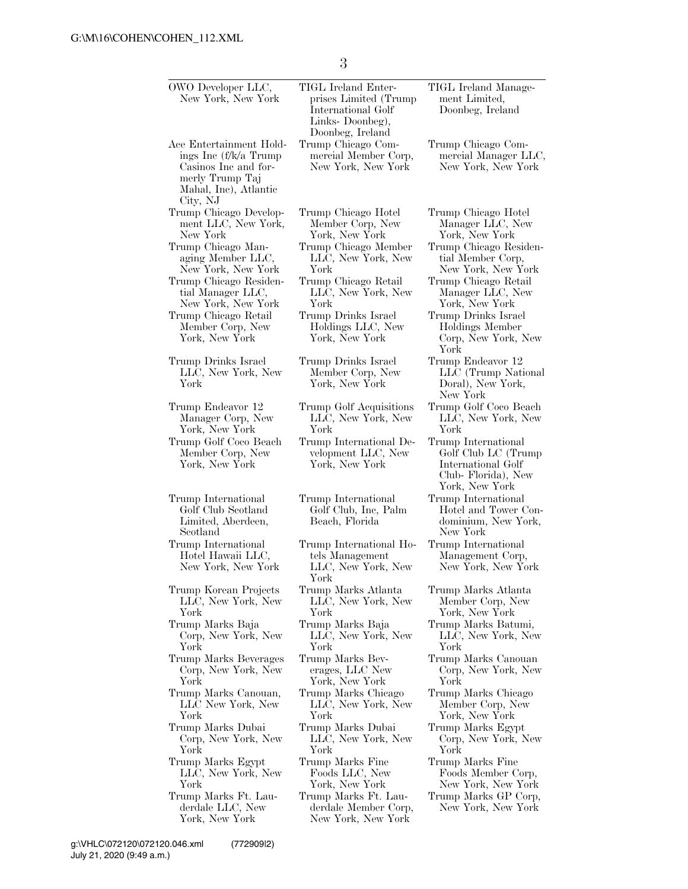3

| OWO Developer LLC,<br>New York, New York                                                                                          | TIGL Ireland Enter-<br>prises Limited (Trump)<br>International Golf<br>Links-Doonbeg),<br>Doonbeg, Ireland | TIGL Ireland Manage-<br>ment Limited,<br>Doonbeg, Ireland                                                |
|-----------------------------------------------------------------------------------------------------------------------------------|------------------------------------------------------------------------------------------------------------|----------------------------------------------------------------------------------------------------------|
| Ace Entertainment Hold-<br>ings Inc (f/k/a Trump)<br>Casinos Inc and for-<br>merly Trump Taj<br>Mahal, Inc), Atlantic<br>City, NJ | Trump Chicago Com-<br>mercial Member Corp,<br>New York, New York                                           | Trump Chicago Com-<br>mercial Manager LLC,<br>New York, New York                                         |
| Trump Chicago Develop-                                                                                                            | Trump Chicago Hotel                                                                                        | Trump Chicago Hotel                                                                                      |
| ment LLC, New York,                                                                                                               | Member Corp, New                                                                                           | Manager LLC, New                                                                                         |
| New York                                                                                                                          | York, New York                                                                                             | York, New York                                                                                           |
| Trump Chicago Man-                                                                                                                | Trump Chicago Member                                                                                       | Trump Chicago Residen-                                                                                   |
| aging Member LLC,                                                                                                                 | LLC, New York, New                                                                                         | tial Member Corp,                                                                                        |
| New York, New York                                                                                                                | York                                                                                                       | New York, New York                                                                                       |
| Trump Chicago Residen-                                                                                                            | Trump Chicago Retail                                                                                       | Trump Chicago Retail                                                                                     |
| tial Manager LLC,                                                                                                                 | LLC, New York, New                                                                                         | Manager LLC, New                                                                                         |
| New York, New York                                                                                                                | York                                                                                                       | York, New York                                                                                           |
| Trump Chicago Retail<br>Member Corp, New<br>York, New York                                                                        | Trump Drinks Israel<br>Holdings LLC, New<br>York, New York                                                 | Trump Drinks Israel<br>Holdings Member<br>Corp, New York, New<br>York                                    |
| Trump Drinks Israel<br>LLC, New York, New<br>York                                                                                 | Trump Drinks Israel<br>Member Corp, New<br>York, New York                                                  | Trump Endeavor 12<br>LLC (Trump National<br>Doral), New York,<br>New York                                |
| Trump Endeavor 12                                                                                                                 | Trump Golf Acquisitions                                                                                    | Trump Golf Coco Beach                                                                                    |
| Manager Corp, New                                                                                                                 | LLC, New York, New                                                                                         | LLC, New York, New                                                                                       |
| York, New York                                                                                                                    | York                                                                                                       | York                                                                                                     |
| Trump Golf Coco Beach<br>Member Corp, New<br>York, New York                                                                       | Trump International De-<br>velopment LLC, New<br>York, New York                                            | Trump International<br>Golf Club LC (Trump<br>International Golf<br>Club-Florida), New<br>York, New York |
| Trump International<br>Golf Club Scotland<br>Limited, Aberdeen,<br>Scotland                                                       | Trump International<br>Golf Club, Inc, Palm<br>Beach, Florida                                              | Trump International<br>Hotel and Tower Con-<br>dominium, New York,<br>New York                           |
| Trump International<br>Hotel Hawaii LLC,<br>New York, New York                                                                    | Trump International Ho-<br>tels Management<br>LLC, New York, New<br>York                                   | Trump International<br>Management Corp,<br>New York, New York                                            |
| Trump Korean Projects                                                                                                             | Trump Marks Atlanta                                                                                        | Trump Marks Atlanta                                                                                      |
| LLC, New York, New                                                                                                                | LLC, New York, New                                                                                         | Member Corp, New                                                                                         |
| York                                                                                                                              | York                                                                                                       | York, New York                                                                                           |
| Trump Marks Baja                                                                                                                  | Trump Marks Baja                                                                                           | Trump Marks Batumi,                                                                                      |
| Corp, New York, New                                                                                                               | LLC, New York, New                                                                                         | LLC, New York, New                                                                                       |
| York                                                                                                                              | York                                                                                                       | York                                                                                                     |
| Trump Marks Beverages                                                                                                             | Trump Marks Bev-                                                                                           | Trump Marks Canouan                                                                                      |
| Corp, New York, New                                                                                                               | erages, LLC New                                                                                            | Corp, New York, New                                                                                      |
| York                                                                                                                              | York, New York                                                                                             | York                                                                                                     |
| Trump Marks Canouan,                                                                                                              | Trump Marks Chicago                                                                                        | Trump Marks Chicago                                                                                      |
| LLC New York, New                                                                                                                 | LLC, New York, New                                                                                         | Member Corp, New                                                                                         |
| York                                                                                                                              | York                                                                                                       | York, New York                                                                                           |
| Trump Marks Dubai                                                                                                                 | Trump Marks Dubai                                                                                          | Trump Marks Egypt                                                                                        |
| Corp, New York, New                                                                                                               | LLC, New York, New                                                                                         | Corp, New York, New                                                                                      |
| York                                                                                                                              | York                                                                                                       | York                                                                                                     |
| Trump Marks Egypt                                                                                                                 | Trump Marks Fine                                                                                           | Trump Marks Fine                                                                                         |
| LLC, New York, New                                                                                                                | Foods LLC, New                                                                                             | Foods Member Corp,                                                                                       |
| York                                                                                                                              | York, New York                                                                                             | New York, New York                                                                                       |
| Trump Marks Ft. Lau-<br>derdale LLC, New<br>York, New York                                                                        | Trump Marks Ft. Lau-<br>derdale Member Corp,<br>New York, New York                                         | Trump Marks GP Corp,<br>New York, New York                                                               |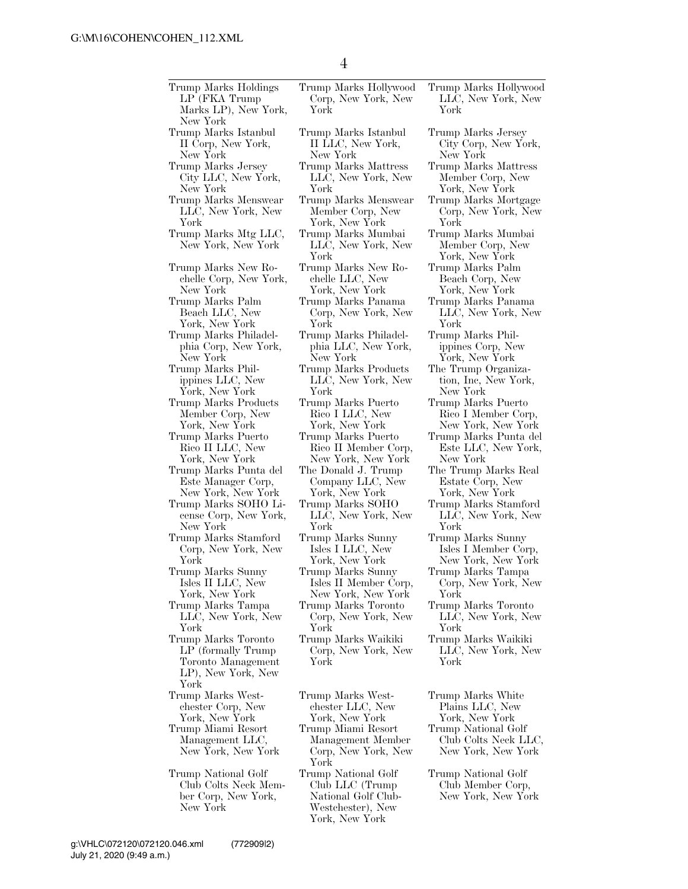| Trump Marks Holdings<br>LP (FKA Trump)<br>Marks LP), New York,<br>New York                     | Trump Marks Hollywood<br>Corp, New York, New<br>Y ork                                                 | Trump Marks Hollywood<br>LLC, New York, New<br>York               |
|------------------------------------------------------------------------------------------------|-------------------------------------------------------------------------------------------------------|-------------------------------------------------------------------|
| Trump Marks Istanbul                                                                           | Trump Marks Istanbul                                                                                  | Trump Marks Jersey                                                |
| II Corp, New York,                                                                             | II LLC, New York,                                                                                     | City Corp, New York,                                              |
| New York                                                                                       | New York                                                                                              | New York                                                          |
| Trump Marks Jersey                                                                             | Trump Marks Mattress                                                                                  | Trump Marks Mattress                                              |
| City LLC, New York,                                                                            | LLC, New York, New                                                                                    | Member Corp, New                                                  |
| New York                                                                                       | York                                                                                                  | York, New York                                                    |
| Trump Marks Menswear                                                                           | Trump Marks Menswear                                                                                  | Trump Marks Mortgage                                              |
| LLC, New York, New                                                                             | Member Corp, New                                                                                      | Corp, New York, New                                               |
| York                                                                                           | York, New York                                                                                        | York                                                              |
| Trump Marks Mtg LLC,<br>New York, New York                                                     | Trump Marks Mumbai<br>LLC, New York, New<br>York                                                      | Trump Marks Mumbai<br>Member Corp, New<br>York, New York          |
| Trump Marks New Ro-                                                                            | Trump Marks New Ro-                                                                                   | Trump Marks Palm                                                  |
| chelle Corp, New York,                                                                         | chelle LLC, New                                                                                       | Beach Corp, New                                                   |
| New York                                                                                       | York, New York                                                                                        | York, New York                                                    |
| Trump Marks Palm                                                                               | Trump Marks Panama                                                                                    | Trump Marks Panama                                                |
| Beach LLC, New                                                                                 | Corp, New York, New                                                                                   | LLC, New York, New                                                |
| York, New York                                                                                 | York                                                                                                  | York                                                              |
| Trump Marks Philadel-                                                                          | Trump Marks Philadel-                                                                                 | Trump Marks Phil-                                                 |
| phia Corp, New York,                                                                           | phia LLC, New York,                                                                                   | ippines Corp, New                                                 |
| New York                                                                                       | New York                                                                                              | York, New York                                                    |
| Trump Marks Phil-                                                                              | Trump Marks Products                                                                                  | The Trump Organiza-                                               |
| ippines LLC, New                                                                               | LLC, New York, New                                                                                    | tion, Inc, New York,                                              |
| York, New York                                                                                 | York                                                                                                  | New York                                                          |
| Trump Marks Products                                                                           | Trump Marks Puerto                                                                                    | Trump Marks Puerto                                                |
| Member Corp, New                                                                               | Rico I LLC, New                                                                                       | Rico I Member Corp,                                               |
| York, New York                                                                                 | York, New York                                                                                        | New York, New York                                                |
| Trump Marks Puerto                                                                             | Trump Marks Puerto                                                                                    | Trump Marks Punta del                                             |
| Rico II LLC, New                                                                               | Rico II Member Corp,                                                                                  | Este LLC, New York,                                               |
| York, New York                                                                                 | New York, New York                                                                                    | New York                                                          |
| Trump Marks Punta del                                                                          | The Donald J. Trump                                                                                   | The Trump Marks Real                                              |
| Este Manager Corp,                                                                             | Company LLC, New                                                                                      | Estate Corp, New                                                  |
| New York, New York                                                                             | York, New York                                                                                        | York, New York                                                    |
| Trump Marks SOHO Li-                                                                           | Trump Marks SOHO                                                                                      | Trump Marks Stamford                                              |
| cense Corp, New York,                                                                          | LLC, New York, New                                                                                    | LLC, New York, New                                                |
| New York                                                                                       | York                                                                                                  | York                                                              |
| Trump Marks Stamford                                                                           | Trump Marks Sunny                                                                                     | Trump Marks Sunny                                                 |
| Corp, New York, New                                                                            | Isles I LLC, New                                                                                      | Isles I Member Corp,                                              |
| York                                                                                           | York, New York                                                                                        | New York, New York                                                |
| Trump Marks Sunny                                                                              | Trump Marks Sunny                                                                                     | Trump Marks Tampa                                                 |
| Isles II LLC, New                                                                              | Isles II Member Corp,                                                                                 | Corp, New York, New                                               |
| York, New York                                                                                 | New York, New York                                                                                    | York                                                              |
| Trump Marks Tampa                                                                              | Trump Marks Toronto                                                                                   | Trump Marks Toronto                                               |
| LLC, New York, New                                                                             | Corp, New York, New                                                                                   | LLC, New York, New                                                |
| York                                                                                           | York                                                                                                  | York                                                              |
| Trump Marks Toronto<br>LP (formally Trump)<br>Toronto Management<br>LP), New York, New<br>York | Trump Marks Waikiki<br>Corp, New York, New<br>York                                                    | Trump Marks Waikiki<br>LLC, New York, New<br>York                 |
| Trump Marks West-                                                                              | Trump Marks West-                                                                                     | Trump Marks White                                                 |
| chester Corp, New                                                                              | chester LLC, New                                                                                      | Plains LLC, New                                                   |
| York, New York                                                                                 | York, New York                                                                                        | York, New York                                                    |
| Trump Miami Resort<br>Management LLC,<br>New York, New York                                    | Trump Miami Resort<br>Management Member<br>Corp, New York, New<br>York                                | Trump National Golf<br>Club Colts Neck LLC,<br>New York, New York |
| Trump National Golf<br>Club Colts Neck Mem-<br>ber Corp, New York,<br>New York                 | Trump National Golf<br>Club LLC (Trump)<br>National Golf Club-<br>Westchester), New<br>York, New York | Trump National Golf<br>Club Member Corp,<br>New York, New York    |

Marks Jersey Corp, New York,  $\delta$ rk Marks Mattress er Corp, New New York Marks Mortgage New York, New Marks Mumbai er Corp, New York, New York Marks Palm Corp, New York, New York Marks Panama New York, New Marks Phils Corp, New York, New York mp Organization, Inc, New York,  $\gamma_{\rm ork}$ Marks Puerto Member Corp, New York, New York Marks Punta del LLC, New York,  $\sigma$ <sub>Y</sub>ork mp Marks Real Estate Corp, New York, New York Marks Stamford New York, New Marks Sunny Member Corp, New York, New York Marks Tampa New York, New Marks Toronto New York, New Marks Waikiki New York, New Marks White LLC, New York, New York Vational Golf

## July 21, 2020 (9:49 a.m.) g:\VHLC\072120\072120.046.xml (772909|2)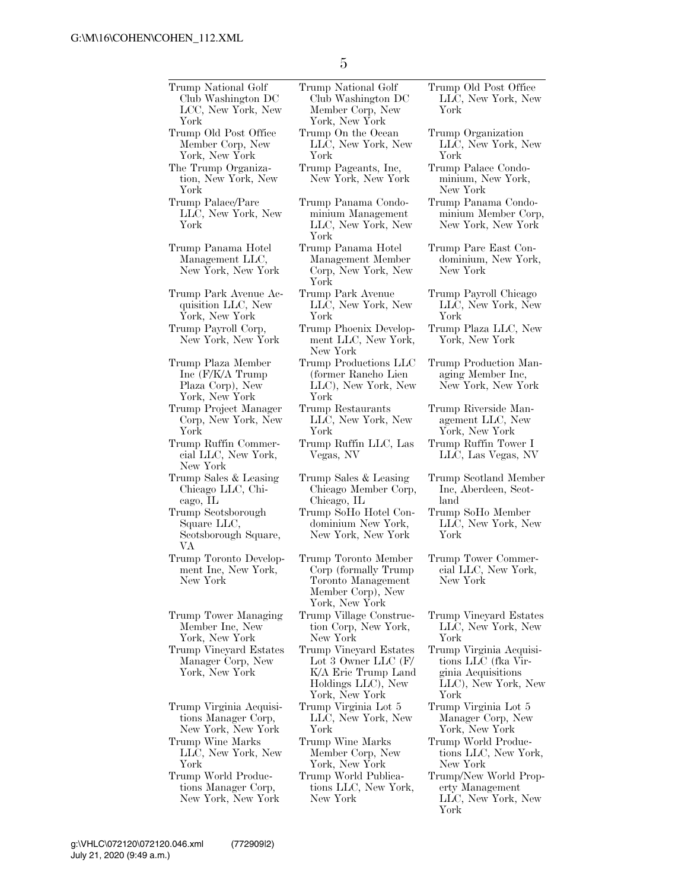Trump National Golf Club Washington DC LCC, New York, New York Trump National Golf Club Washington DC Member Corp, New York, New York Trump Old Post Office Member Corp, New York, New York Trump On the Ocean LLC, New York, New York The Trump Organization, New York, New York Trump Pageants, Inc, New York, New York Trump Palace/Parc LLC, New York, New York Trump Panama Condominium Management LLC, New York, New York Trump Panama Hotel Management LLC, New York, New York Trump Panama Hotel Management Member Corp, New York, New York Trump Park Avenue Acquisition LLC, New York, New York Trump Park Avenue LLC, New York, New York Trump Payroll Corp, New York, New York Trump Phoenix Development LLC, New York, New York Trump Plaza Member Inc (F/K/A Trump Plaza Corp), New York, New York Trump Productions LLC (former Rancho Lien LLC), New York, New York Trump Project Manager Corp, New York, New York Trump Restaurants LLC, New York, New York Trump Ruffin Commercial LLC, New York, New York Trump Ruffin LLC, Las Vegas, NV Trump Sales & Leasing Chicago LLC, Chicago, IL Trump Sales & Leasing Chicago Member Corp, Chicago, IL Trump Scotsborough Square LLC, Scotsborough Square, VA Trump SoHo Hotel Condominium New York, New York, New York Trump Toronto Development Inc, New York, New York Trump Toronto Member Corp (formally Trump Toronto Management Member Corp), New York, New York Trump Tower Managing Member Inc, New York, New York Trump Village Construction Corp, New York, New York Trump Vineyard Estates Manager Corp, New York, New York Trump Vineyard Estates Lot 3 Owner LLC (F/ K/A Eric Trump Land Holdings LLC), New York, New York Trump Virginia Acquisitions Manager Corp, New York, New York Trump Virginia Lot 5 LLC, New York, New York Trump Wine Marks LLC, New York, New York Trump Wine Marks Member Corp, New York, New York Trump World Productions Manager Corp, New York, New York Trump World Publications LLC, New York, New York

Trump Old Post Office LLC, New York, New York

Trump Organization LLC, New York, New York

Trump Palace Condominium, New York, New York

Trump Panama Condominium Member Corp, New York, New York

Trump Parc East Condominium, New York, New York

Trump Payroll Chicago LLC, New York, New York

Trump Plaza LLC, New York, New York

Trump Production Managing Member Inc, New York, New York

Trump Riverside Management LLC, New York, New York Trump Ruffin Tower I

LLC, Las Vegas, NV

Trump Scotland Member Inc, Aberdeen, Scotland

Trump SoHo Member LLC, New York, New York

Trump Tower Commercial LLC, New York, New York

Trump Vineyard Estates LLC, New York, New York

Trump Virginia Acquisitions LLC (fka Virginia Acquisitions LLC), New York, New York

Trump Virginia Lot 5 Manager Corp, New York, New York

- Trump World Productions LLC, New York, New York
- Trump/New World Property Management LLC, New York, New York

5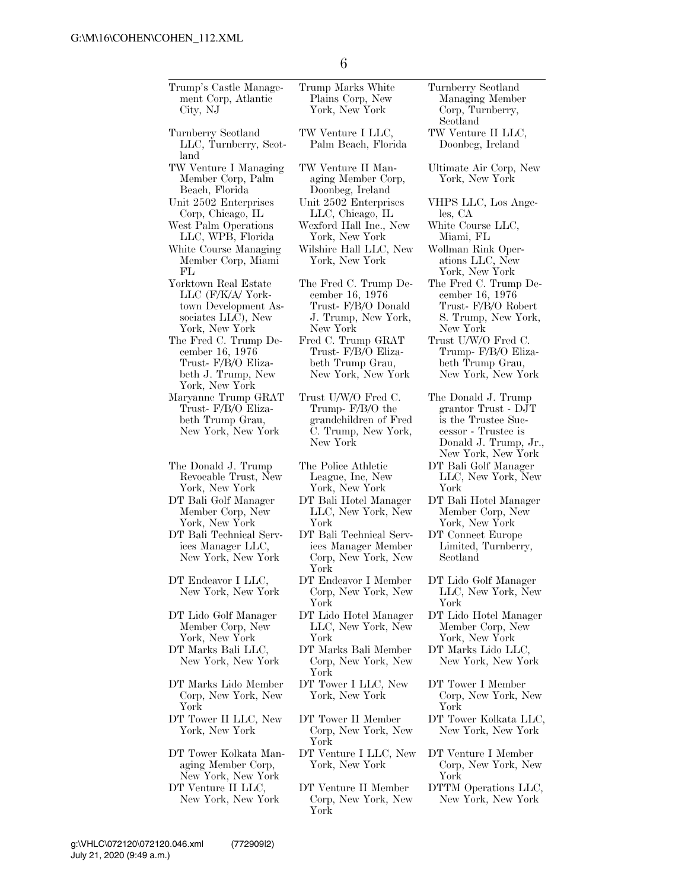| Trump's Castle Manage-<br>ment Corp, Atlantic<br>City, NJ                                                 | Trump Marks White<br>Plains Corp, New<br>York, New York                                               | Turnberry Scotland<br>Managing Member<br>Corp, Turnberry,<br>Scotland                                                                   |
|-----------------------------------------------------------------------------------------------------------|-------------------------------------------------------------------------------------------------------|-----------------------------------------------------------------------------------------------------------------------------------------|
| Turnberry Scotland<br>LLC, Turnberry, Scot-<br>land                                                       | TW Venture I LLC,<br>Palm Beach, Florida                                                              | TW Venture II LLC,<br>Doonbeg, Ireland                                                                                                  |
| TW Venture I Managing<br>Member Corp, Palm<br>Beach, Florida                                              | TW Venture II Man-<br>aging Member Corp,<br>Doonbeg, Ireland                                          | Ultimate Air Corp, New<br>York, New York                                                                                                |
| Unit 2502 Enterprises<br>Corp, Chicago, IL                                                                | Unit 2502 Enterprises<br>LLC, Chicago, IL                                                             | VHPS LLC, Los Ange-<br>$\text{les, CA}$                                                                                                 |
| West Palm Operations<br>LLC, WPB, Florida                                                                 | Wexford Hall Inc., New<br>York, New York                                                              | White Course LLC,<br>Miami, FL                                                                                                          |
| White Course Managing<br>Member Corp, Miami<br>FL                                                         | Wilshire Hall LLC, New<br>York, New York                                                              | Wollman Rink Oper-<br>ations LLC, New<br>York, New York                                                                                 |
| Yorktown Real Estate<br>LLC (F/K/A/ York-<br>town Development As-<br>sociates LLC), New<br>York, New York | The Fred C. Trump De-<br>cember 16, 1976<br>Trust- F/B/O Donald<br>J. Trump, New York,<br>New York    | The Fred C. Trump De-<br>cember 16, 1976<br>Trust- F/B/O Robert<br>S. Trump, New York,<br>New York                                      |
| The Fred C. Trump De-<br>cember 16, 1976<br>Trust- F/B/O Eliza-<br>beth J. Trump, New<br>York, New York   | Fred C. Trump GRAT<br>Trust- F/B/O Eliza-<br>beth Trump Grau,<br>New York, New York                   | Trust U/W/O Fred C.<br>Trump- F/B/O Eliza-<br>beth Trump Grau,<br>New York, New York                                                    |
| Maryanne Trump GRAT<br>Trust-F/B/O Eliza-<br>beth Trump Grau,<br>New York, New York                       | Trust U/W/O Fred C.<br>Trump- $F/B/O$ the<br>grandchildren of Fred<br>C. Trump, New York,<br>New York | The Donald J. Trump<br>grantor Trust - DJT<br>is the Trustee Suc-<br>cessor - Trustee is<br>Donald J. Trump, Jr.,<br>New York, New York |
| The Donald J. Trump<br>Revocable Trust, New<br>York, New York                                             | The Police Athletic<br>League, Inc, New<br>York, New York                                             | DT Bali Golf Manager<br>LLC, New York, New<br>York                                                                                      |
| DT Bali Golf Manager<br>Member Corp, New<br>York, New York                                                | DT Bali Hotel Manager<br>LLC, New York, New<br>York                                                   | DT Bali Hotel Manager<br>Member Corp, New<br>York, New York                                                                             |
| DT Bali Technical Serv-<br>ices Manager LLC,<br>New York, New York                                        | DT Bali Technical Serv-<br>ices Manager Member<br>Corp, New York, New<br>York                         | DT Connect Europe<br>Limited, Turnberry,<br>Scotland                                                                                    |
| DT Endeavor I LLC,<br>New York, New York                                                                  | DT Endeavor I Member<br>Corp, New York, New<br>York                                                   | DT Lido Golf Manager<br>LLC, New York, New<br>York                                                                                      |
| DT Lido Golf Manager<br>Member Corp, New<br>York, New York                                                | DT Lido Hotel Manager<br>LLC, New York, New<br>York                                                   | DT Lido Hotel Manager<br>Member Corp, New<br>York, New York                                                                             |
| DT Marks Bali LLC,<br>New York, New York                                                                  | DT Marks Bali Member<br>Corp, New York, New<br>York                                                   | DT Marks Lido LLC,<br>New York, New York                                                                                                |
| DT Marks Lido Member<br>Corp, New York, New<br>York                                                       | DT Tower I LLC, New<br>York, New York                                                                 | DT Tower I Member<br>Corp, New York, New<br>York                                                                                        |
| DT Tower II LLC, New<br>York, New York                                                                    | DT Tower II Member<br>Corp, New York, New<br>York                                                     | DT Tower Kolkata LLC,<br>New York, New York                                                                                             |
| DT Tower Kolkata Man-<br>aging Member Corp,<br>New York, New York                                         | DT Venture I LLC, New<br>York, New York                                                               | DT Venture I Member<br>Corp, New York, New<br>York                                                                                      |
| DT Venture II LLC,<br>New York, New York                                                                  | DT Venture II Member<br>Corp, New York, New<br>York                                                   | DTTM Operations LLC,<br>New York, New York                                                                                              |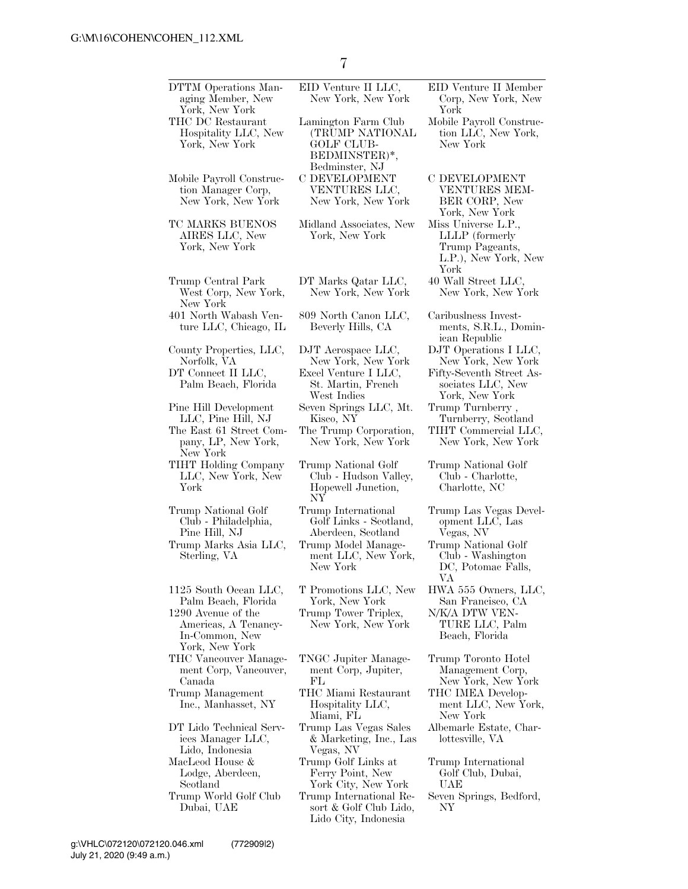| DTTM Operations Man-<br>aging Member, New<br>York, New York          | EID Venture II LLC,<br>New York, New York                                               | EID Venture II Member<br>Corp, New York, New<br>York                                     |
|----------------------------------------------------------------------|-----------------------------------------------------------------------------------------|------------------------------------------------------------------------------------------|
| THC DC Restaurant<br>Hospitality LLC, New<br>York, New York          | Lamington Farm Club<br>(TRUMP NATIONAL<br>GOLF CLUB-<br>BEDMINSTER)*,<br>Bedminster, NJ | Mobile Payroll Construc-<br>tion LLC, New York,<br>New York                              |
| Mobile Payroll Construc-<br>tion Manager Corp,<br>New York, New York | C DEVELOPMENT<br>VENTURES LLC,<br>New York, New York                                    | C DEVELOPMENT<br>VENTURES MEM-<br>BER CORP, New<br>York, New York                        |
| TC MARKS BUENOS<br>AIRES LLC, New<br>York, New York                  | Midland Associates, New<br>York, New York                                               | Miss Universe L.P.,<br>LLLP (formerly<br>Trump Pageants,<br>L.P.), New York, New<br>York |
| Trump Central Park<br>West Corp, New York,<br>New York               | DT Marks Qatar LLC,<br>New York, New York                                               | 40 Wall Street LLC,<br>New York, New York                                                |
| 401 North Wabash Ven-<br>ture LLC, Chicago, IL                       | 809 North Canon LLC,<br>Beverly Hills, CA                                               | Caribuslness Invest-<br>ments, S.R.L., Domin-<br>ican Republic                           |
| County Properties, LLC,<br>Norfolk, VA                               | DJT Aerospace LLC,                                                                      | DJT Operations I LLC,                                                                    |
| DT Connect II LLC,                                                   | New York, New York<br>Excel Venture I LLC,                                              | New York, New York<br>Fifty-Seventh Street As-                                           |
| Palm Beach, Florida                                                  | St. Martin, French<br>West Indies                                                       | sociates LLC, New<br>York, New York                                                      |
| Pine Hill Development                                                | Seven Springs LLC, Mt.                                                                  | Trump Turnberry,                                                                         |
| LLC, Pine Hill, NJ<br>The East 61 Street Com-                        | Kisco, NY<br>The Trump Corporation,                                                     | Turnberry, Scotland<br>TIHT Commercial LLC,                                              |
| pany, LP, New York,<br>New York                                      | New York, New York                                                                      | New York, New York                                                                       |
| TIHT Holding Company<br>LLC, New York, New<br>York                   | Trump National Golf<br>Club - Hudson Valley,<br>Hopewell Junction,<br>NY                | Trump National Golf<br>Club - Charlotte,<br>Charlotte, NC                                |
| Trump National Golf<br>Club - Philadelphia,<br>Pine Hill, NJ         | Trump International<br>Golf Links - Scotland,<br>Aberdeen, Scotland                     | Trump Las Vegas Devel-<br>opment LLC, Las<br>Vegas, NV                                   |
| Trump Marks Asia LLC,<br>Sterling, VA                                | Trump Model Manage-<br>ment LLC, New York,<br>New York                                  | Trump National Golf<br>Club - Washington<br>DC, Potomac Falls,<br>VA                     |
| 1125 South Ocean LLC,<br>Palm Beach, Florida                         | T Promotions LLC, New<br>York, New York                                                 | HWA 555 Owners, LLC,<br>San Francisco, CA                                                |
| 1290 Avenue of the<br>Americas, A Tenancy-                           | Trump Tower Triplex,<br>New York, New York                                              | N/K/A DTW VEN-<br>TURE LLC, Palm                                                         |
| In-Common, New<br>York, New York                                     |                                                                                         | Beach, Florida                                                                           |
| THC Vancouver Manage-<br>ment Corp, Vancouver,                       | TNGC Jupiter Manage-<br>ment Corp, Jupiter,                                             | Trump Toronto Hotel<br>Management Corp,                                                  |
| Canada<br>Trump Management<br>Inc., Manhasset, NY                    | FL<br>THC Miami Restaurant<br>Hospitality LLC,                                          | New York, New York<br>THC IMEA Develop-<br>ment LLC, New York,                           |
| DT Lido Technical Serv-<br>ices Manager LLC,                         | Miami, FL<br>Trump Las Vegas Sales<br>& Marketing, Inc., Las                            | New York<br>Albemarle Estate, Char-<br>lottesville, VA                                   |
| Lido, Indonesia                                                      | Vegas, NV                                                                               |                                                                                          |
| MacLeod House &<br>Lodge, Aberdeen,                                  | Trump Golf Links at<br>Ferry Point, New                                                 | Trump International<br>Golf Club, Dubai,                                                 |
| Scotland<br>Trump World Golf Club                                    | York City, New York                                                                     | UAE                                                                                      |
| Dubai, UAE                                                           | Trump International Re-<br>sort & Golf Club Lido,<br>Lido City, Indonesia               | Seven Springs, Bedford,<br>NΥ                                                            |
|                                                                      |                                                                                         |                                                                                          |